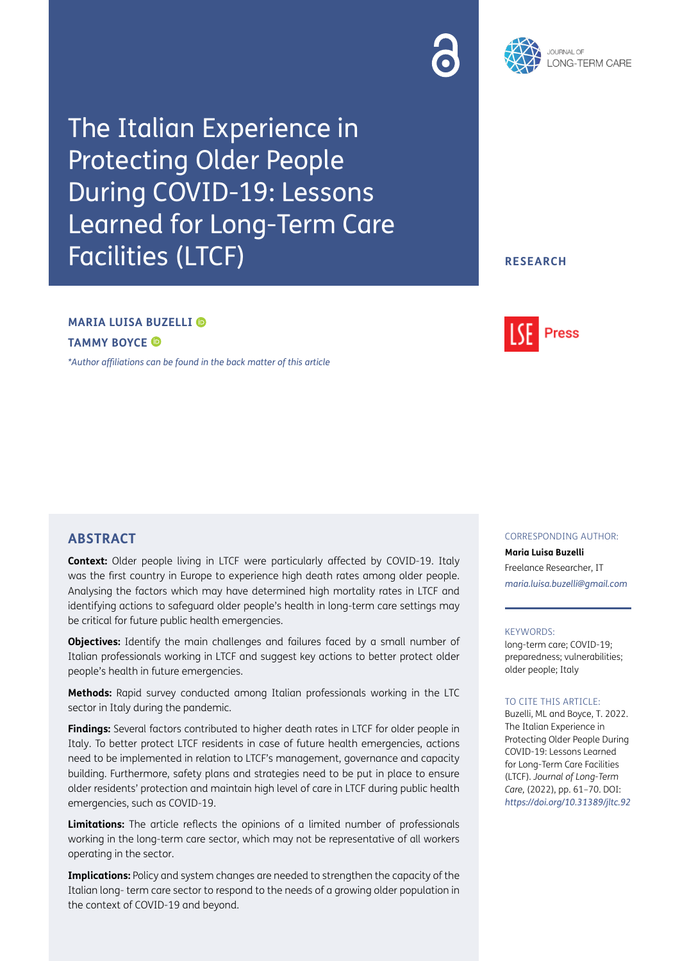



The Italian Experience in Protecting Older People During COVID-19: Lessons Learned for Long-Term Care Facilities (LTCF)

## **RESEARCH**

# **MARIA LUISA BUZELLI**

**TAMMY BOYCE** 

*[\\*Author affiliations can be found in the back matter of this article](#page-7-0)*



**Context:** Older people living in LTCF were particularly affected by COVID-19. Italy was the first country in Europe to experience high death rates among older people. Analysing the factors which may have determined high mortality rates in LTCF and identifying actions to safeguard older people's health in long-term care settings may be critical for future public health emergencies.

**Objectives:** Identify the main challenges and failures faced by a small number of Italian professionals working in LTCF and suggest key actions to better protect older people's health in future emergencies.

**Methods:** Rapid survey conducted among Italian professionals working in the LTC sector in Italy during the pandemic.

**Findings:** Several factors contributed to higher death rates in LTCF for older people in Italy. To better protect LTCF residents in case of future health emergencies, actions need to be implemented in relation to LTCF's management, governance and capacity building. Furthermore, safety plans and strategies need to be put in place to ensure older residents' protection and maintain high level of care in LTCF during public health emergencies, such as COVID-19.

**Limitations:** The article reflects the opinions of a limited number of professionals working in the long-term care sector, which may not be representative of all workers operating in the sector.

**Implications:** Policy and system changes are needed to strengthen the capacity of the Italian long- term care sector to respond to the needs of a growing older population in the context of COVID-19 and beyond.

# **ABSTRACT** CORRESPONDING AUTHOR:

**Maria Luisa Buzelli** Freelance Researcher, IT *[maria.luisa.buzelli@gmail.com](mailto:maria.luisa.buzelli@gmail.com)*

#### KEYWORDS:

long-term care; COVID-19; preparedness; vulnerabilities; older people; Italy

#### TO CITE THIS ARTICLE:

Buzelli, ML and Boyce, T. 2022. The Italian Experience in Protecting Older People During COVID-19: Lessons Learned for Long-Term Care Facilities (LTCF). *Journal of Long-Term Care,* (2022), pp. 61–70. DOI: *<https://doi.org/10.31389/jltc.92>*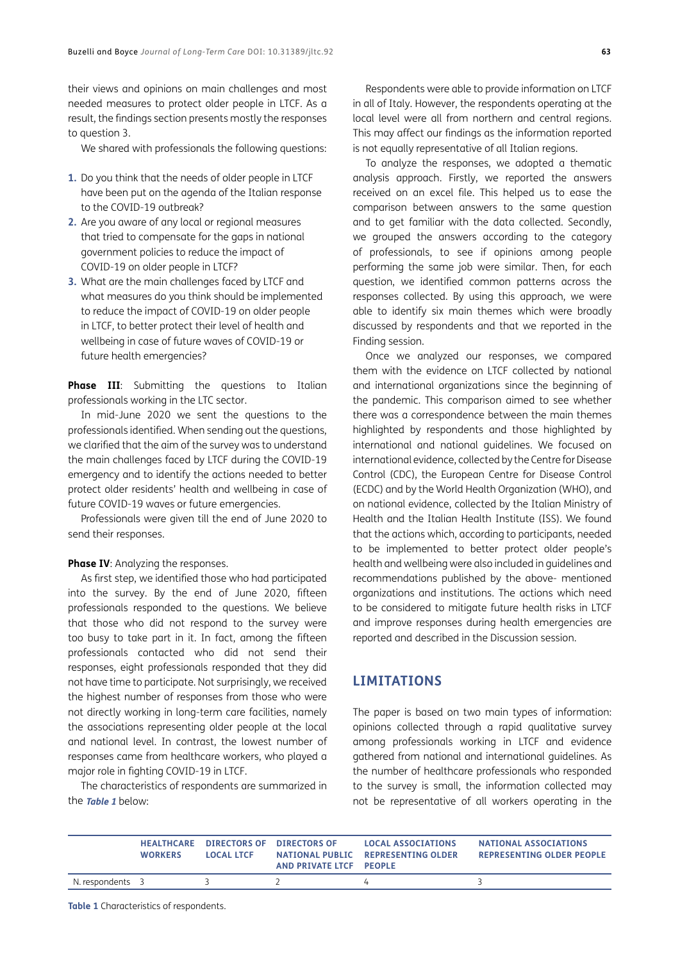their views and opinions on main challenges and most needed measures to protect older people in LTCF. As a result, the findings section presents mostly the responses to question 3.

We shared with professionals the following questions:

- **1.** Do you think that the needs of older people in LTCF have been put on the agenda of the Italian response to the COVID-19 outbreak?
- **2.** Are you aware of any local or regional measures that tried to compensate for the gaps in national government policies to reduce the impact of COVID-19 on older people in LTCF?
- **3.** What are the main challenges faced by LTCF and what measures do you think should be implemented to reduce the impact of COVID-19 on older people in LTCF, to better protect their level of health and wellbeing in case of future waves of COVID-19 or future health emergencies?

**Phase III**: Submitting the questions to Italian professionals working in the LTC sector.

In mid-June 2020 we sent the questions to the professionals identified. When sending out the questions, we clarified that the aim of the survey was to understand the main challenges faced by LTCF during the COVID-19 emergency and to identify the actions needed to better protect older residents' health and wellbeing in case of future COVID-19 waves or future emergencies.

Professionals were given till the end of June 2020 to send their responses.

### **Phase IV: Analyzing the responses.**

As first step, we identified those who had participated into the survey. By the end of June 2020, fifteen professionals responded to the questions. We believe that those who did not respond to the survey were too busy to take part in it. In fact, among the fifteen professionals contacted who did not send their responses, eight professionals responded that they did not have time to participate. Not surprisingly, we received the highest number of responses from those who were not directly working in long-term care facilities, namely the associations representing older people at the local and national level. In contrast, the lowest number of responses came from healthcare workers, who played a major role in fighting COVID-19 in LTCF.

The characteristics of respondents are summarized in the **[Table 1](#page-2-0)** below:

Respondents were able to provide information on LTCF in all of Italy. However, the respondents operating at the local level were all from northern and central regions. This may affect our findings as the information reported is not equally representative of all Italian regions.

To analyze the responses, we adopted a thematic analysis approach. Firstly, we reported the answers received on an excel file. This helped us to ease the comparison between answers to the same question and to get familiar with the data collected. Secondly, we grouped the answers according to the category of professionals, to see if opinions among people performing the same job were similar. Then, for each question, we identified common patterns across the responses collected. By using this approach, we were able to identify six main themes which were broadly discussed by respondents and that we reported in the Finding session.

Once we analyzed our responses, we compared them with the evidence on LTCF collected by national and international organizations since the beginning of the pandemic. This comparison aimed to see whether there was a correspondence between the main themes highlighted by respondents and those highlighted by international and national guidelines. We focused on international evidence, collected by the Centre for Disease Control (CDC), the European Centre for Disease Control (ECDC) and by the World Health Organization (WHO), and on national evidence, collected by the Italian Ministry of Health and the Italian Health Institute (ISS). We found that the actions which, according to participants, needed to be implemented to better protect older people's health and wellbeing were also included in guidelines and recommendations published by the above- mentioned organizations and institutions. The actions which need to be considered to mitigate future health risks in LTCF and improve responses during health emergencies are reported and described in the Discussion session.

# **LIMITATIONS**

The paper is based on two main types of information: opinions collected through a rapid qualitative survey among professionals working in LTCF and evidence gathered from national and international guidelines. As the number of healthcare professionals who responded to the survey is small, the information collected may not be representative of all workers operating in the

|                | <b>WORKERS</b> | <b>HEALTHCARE DIRECTORS OF DIRECTORS OF</b><br><b>LOCAL LTCF</b> | AND PRIVATE LTCF PEOPLE | <b>LOCAL ASSOCIATIONS</b><br>NATIONAL PUBLIC REPRESENTING OLDER | NATIONAL ASSOCIATIONS<br><b>REPRESENTING OLDER PEOPLE</b> |
|----------------|----------------|------------------------------------------------------------------|-------------------------|-----------------------------------------------------------------|-----------------------------------------------------------|
| N. respondents |                |                                                                  |                         |                                                                 |                                                           |

<span id="page-2-0"></span>**Table 1** Characteristics of respondents.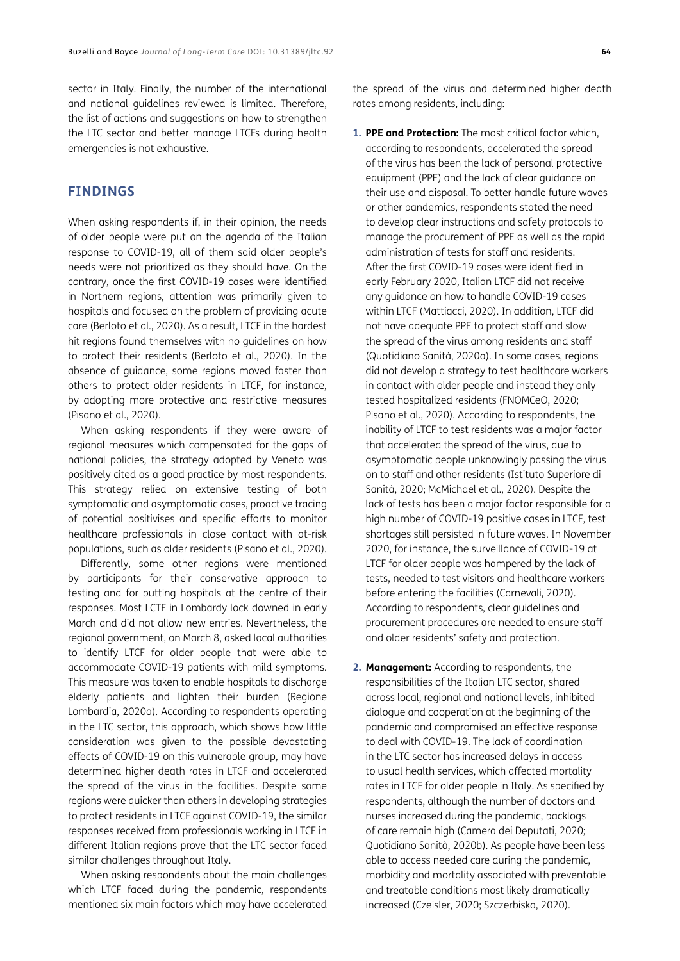sector in Italy. Finally, the number of the international and national guidelines reviewed is limited. Therefore, the list of actions and suggestions on how to strengthen the LTC sector and better manage LTCFs during health emergencies is not exhaustive.

## **FINDINGS**

When asking respondents if, in their opinion, the needs of older people were put on the agenda of the Italian response to COVID-19, all of them said older people's needs were not prioritized as they should have. On the contrary, once the first COVID-19 cases were identified in Northern regions, attention was primarily given to hospitals and focused on the problem of providing acute care ([Berloto et al., 2020\)](#page-7-1). As a result, LTCF in the hardest hit regions found themselves with no guidelines on how to protect their residents [\(Berloto et al., 2020](#page-7-1)). In the absence of guidance, some regions moved faster than others to protect older residents in LTCF, for instance, by adopting more protective and restrictive measures [\(Pisano et al., 2020\)](#page-8-0).

When asking respondents if they were aware of regional measures which compensated for the gaps of national policies, the strategy adopted by Veneto was positively cited as a good practice by most respondents. This strategy relied on extensive testing of both symptomatic and asymptomatic cases, proactive tracing of potential positivises and specific efforts to monitor healthcare professionals in close contact with at-risk populations, such as older residents ([Pisano et al., 2020](#page-8-0)).

Differently, some other regions were mentioned by participants for their conservative approach to testing and for putting hospitals at the centre of their responses. Most LCTF in Lombardy lock downed in early March and did not allow new entries. Nevertheless, the regional government, on March 8, asked local authorities to identify LTCF for older people that were able to accommodate COVID-19 patients with mild symptoms. This measure was taken to enable hospitals to discharge elderly patients and lighten their burden [\(Regione](#page-8-0) [Lombardia, 2020a](#page-8-0)). According to respondents operating in the LTC sector, this approach, which shows how little consideration was given to the possible devastating effects of COVID-19 on this vulnerable group, may have determined higher death rates in LTCF and accelerated the spread of the virus in the facilities. Despite some regions were quicker than others in developing strategies to protect residents in LTCF against COVID-19, the similar responses received from professionals working in LTCF in different Italian regions prove that the LTC sector faced similar challenges throughout Italy.

When asking respondents about the main challenges which LTCF faced during the pandemic, respondents mentioned six main factors which may have accelerated the spread of the virus and determined higher death rates among residents, including:

- **1. PPE and Protection:** The most critical factor which, according to respondents, accelerated the spread of the virus has been the lack of personal protective equipment (PPE) and the lack of clear guidance on their use and disposal. To better handle future waves or other pandemics, respondents stated the need to develop clear instructions and safety protocols to manage the procurement of PPE as well as the rapid administration of tests for staff and residents. After the first COVID-19 cases were identified in early February 2020, Italian LTCF did not receive any guidance on how to handle COVID-19 cases within LTCF [\(Mattiacci, 2020\)](#page-8-0). In addition, LTCF did not have adequate PPE to protect staff and slow the spread of the virus among residents and staff [\(Quotidiano Sanità, 2020a](#page-8-0)). In some cases, regions did not develop a strategy to test healthcare workers in contact with older people and instead they only tested hospitalized residents [\(FNOMCeO, 2020;](#page-8-0) [Pisano et al., 2020\)](#page-8-0). According to respondents, the inability of LTCF to test residents was a major factor that accelerated the spread of the virus, due to asymptomatic people unknowingly passing the virus on to staff and other residents [\(Istituto Superiore di](#page-8-0)  [Sanità, 2020; McMichael et al., 2020](#page-8-0)). Despite the lack of tests has been a major factor responsible for a high number of COVID-19 positive cases in LTCF, test shortages still persisted in future waves. In November 2020, for instance, the surveillance of COVID-19 at LTCF for older people was hampered by the lack of tests, needed to test visitors and healthcare workers before entering the facilities ([Carnevali, 2020](#page-8-0)). According to respondents, clear guidelines and procurement procedures are needed to ensure staff and older residents' safety and protection.
- **2. Management:** According to respondents, the responsibilities of the Italian LTC sector, shared across local, regional and national levels, inhibited dialogue and cooperation at the beginning of the pandemic and compromised an effective response to deal with COVID-19. The lack of coordination in the LTC sector has increased delays in access to usual health services, which affected mortality rates in LTCF for older people in Italy. As specified by respondents, although the number of doctors and nurses increased during the pandemic, backlogs of care remain high [\(Camera dei Deputati, 2020;](#page-7-1) [Quotidiano Sanità, 2020b](#page-8-0)). As people have been less able to access needed care during the pandemic, morbidity and mortality associated with preventable and treatable conditions most likely dramatically increased [\(Czeisler, 2020](#page-8-0); Szczerbiska, 2020).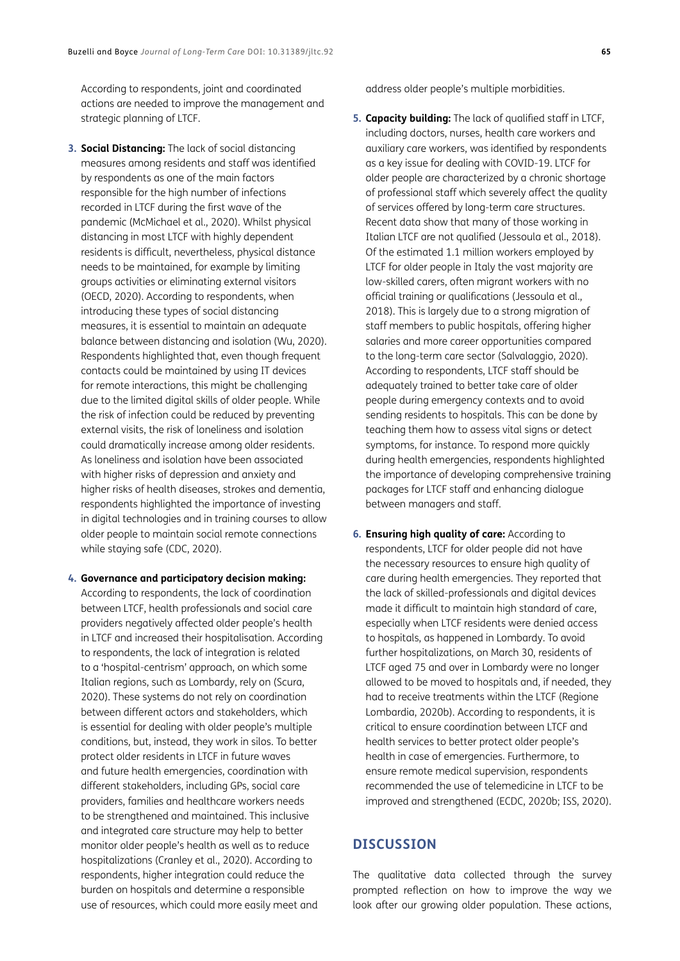According to respondents, joint and coordinated actions are needed to improve the management and strategic planning of LTCF.

- **3. Social Distancing:** The lack of social distancing measures among residents and staff was identified by respondents as one of the main factors responsible for the high number of infections recorded in LTCF during the first wave of the pandemic [\(McMichael et al., 2020](#page-8-0)). Whilst physical distancing in most LTCF with highly dependent residents is difficult, nevertheless, physical distance needs to be maintained, for example by limiting groups activities or eliminating external visitors ([OECD, 2020\)](#page-8-0). According to respondents, when introducing these types of social distancing measures, it is essential to maintain an adequate balance between distancing and isolation ([Wu, 2020](#page-9-0)). Respondents highlighted that, even though frequent contacts could be maintained by using IT devices for remote interactions, this might be challenging due to the limited digital skills of older people. While the risk of infection could be reduced by preventing external visits, the risk of loneliness and isolation could dramatically increase among older residents. As loneliness and isolation have been associated with higher risks of depression and anxiety and higher risks of health diseases, strokes and dementia, respondents highlighted the importance of investing in digital technologies and in training courses to allow older people to maintain social remote connections while staying safe ([CDC, 2020](#page-8-0)).
- **4. Governance and participatory decision making:**  According to respondents, the lack of coordination between LTCF, health professionals and social care providers negatively affected older people's health in LTCF and increased their hospitalisation. According to respondents, the lack of integration is related to a 'hospital-centrism' approach, on which some Italian regions, such as Lombardy, rely on [\(Scura,](#page-8-0)  [2020\)](#page-8-0). These systems do not rely on coordination between different actors and stakeholders, which is essential for dealing with older people's multiple conditions, but, instead, they work in silos. To better protect older residents in LTCF in future waves and future health emergencies, coordination with different stakeholders, including GPs, social care providers, families and healthcare workers needs to be strengthened and maintained. This inclusive and integrated care structure may help to better monitor older people's health as well as to reduce hospitalizations ([Cranley et al., 2020\)](#page-8-0). According to respondents, higher integration could reduce the burden on hospitals and determine a responsible use of resources, which could more easily meet and

address older people's multiple morbidities.

- **5. Capacity building:** The lack of qualified staff in LTCF, including doctors, nurses, health care workers and auxiliary care workers, was identified by respondents as a key issue for dealing with COVID-19. LTCF for older people are characterized by a chronic shortage of professional staff which severely affect the quality of services offered by long-term care structures. Recent data show that many of those working in Italian LTCF are not qualified [\(Jessoula et al., 2018](#page-8-0)). Of the estimated 1.1 million workers employed by LTCF for older people in Italy the vast majority are low-skilled carers, often migrant workers with no official training or qualifications [\(Jessoula et al.,](#page-8-0)  [2018\)](#page-8-0). This is largely due to a strong migration of staff members to public hospitals, offering higher salaries and more career opportunities compared to the long-term care sector ([Salvalaggio, 2020\)](#page-8-0). According to respondents, LTCF staff should be adequately trained to better take care of older people during emergency contexts and to avoid sending residents to hospitals. This can be done by teaching them how to assess vital signs or detect symptoms, for instance. To respond more quickly during health emergencies, respondents highlighted the importance of developing comprehensive training packages for LTCF staff and enhancing dialogue between managers and staff.
- **6. Ensuring high quality of care:** According to respondents, LTCF for older people did not have the necessary resources to ensure high quality of care during health emergencies. They reported that the lack of skilled-professionals and digital devices made it difficult to maintain high standard of care, especially when LTCF residents were denied access to hospitals, as happened in Lombardy. To avoid further hospitalizations, on March 30, residents of LTCF aged 75 and over in Lombardy were no longer allowed to be moved to hospitals and, if needed, they had to receive treatments within the LTCF [\(Regione](#page-8-0)  [Lombardia, 2020b](#page-8-0)). According to respondents, it is critical to ensure coordination between LTCF and health services to better protect older people's health in case of emergencies. Furthermore, to ensure remote medical supervision, respondents recommended the use of telemedicine in LTCF to be improved and strengthened [\(ECDC, 2020b](#page-8-0); [ISS, 2020](#page-8-0)).

# **DISCUSSION**

The qualitative data collected through the survey prompted reflection on how to improve the way we look after our growing older population. These actions,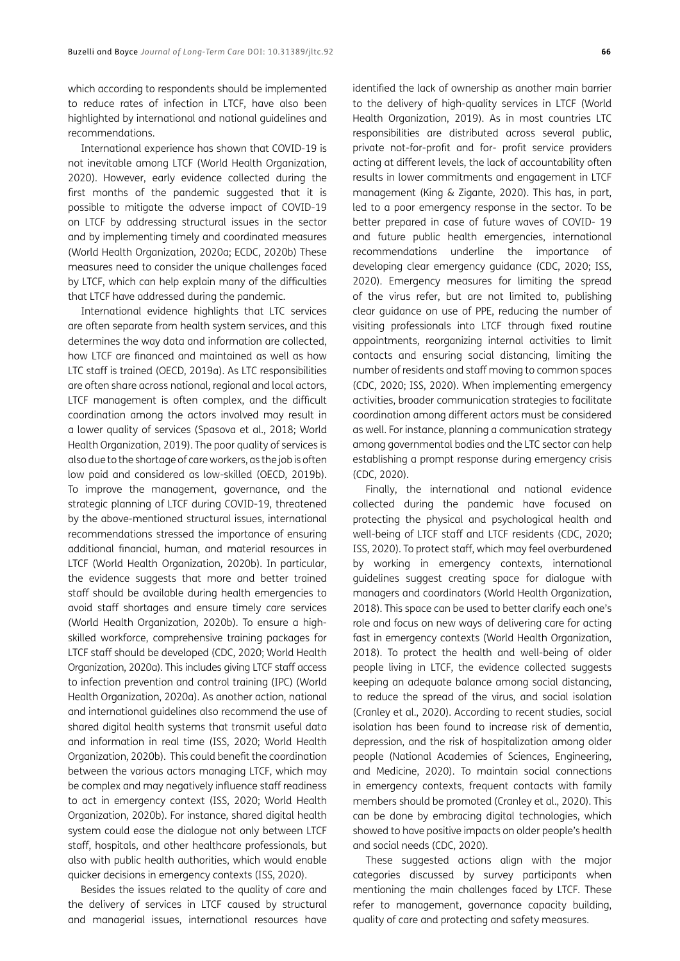which according to respondents should be implemented to reduce rates of infection in LTCF, have also been highlighted by international and national guidelines and recommendations.

International experience has shown that COVID-19 is not inevitable among LTCF ([World Health Organization,](#page-9-0) [2020](#page-9-0)). However, early evidence collected during the first months of the pandemic suggested that it is possible to mitigate the adverse impact of COVID-19 on LTCF by addressing structural issues in the sector and by implementing timely and coordinated measures [\(World Health Organization, 2020a](#page-9-0); [ECDC, 2020b\)](#page-8-0) These measures need to consider the unique challenges faced by LTCF, which can help explain many of the difficulties that LTCF have addressed during the pandemic.

International evidence highlights that LTC services are often separate from health system services, and this determines the way data and information are collected, how LTCF are financed and maintained as well as how LTC staff is trained [\(OECD, 2019a\)](#page-8-0). As LTC responsibilities are often share across national, regional and local actors, LTCF management is often complex, and the difficult coordination among the actors involved may result in a lower quality of services [\(Spasova et al., 2018;](#page-8-0) [World](#page-9-0) [Health Organization, 2019\)](#page-9-0). The poor quality of services is also due to the shortage of care workers, as the job is often low paid and considered as low-skilled ([OECD, 2019b](#page-8-0)). To improve the management, governance, and the strategic planning of LTCF during COVID-19, threatened by the above-mentioned structural issues, international recommendations stressed the importance of ensuring additional financial, human, and material resources in LTCF [\(World Health Organization, 2020b\)](#page-9-0). In particular, the evidence suggests that more and better trained staff should be available during health emergencies to avoid staff shortages and ensure timely care services [\(World Health Organization, 2020b\)](#page-9-0). To ensure a highskilled workforce, comprehensive training packages for LTCF staff should be developed [\(CDC, 2020](#page-8-0); [World Health](#page-9-0) [Organization, 2020a\)](#page-9-0). This includes giving LTCF staff access to infection prevention and control training (IPC) [\(World](#page-9-0) [Health Organization, 2020a\)](#page-9-0). As another action, national and international guidelines also recommend the use of shared digital health systems that transmit useful data and information in real time [\(ISS, 2020;](#page-8-0) [World Health](#page-9-0) [Organization, 2020b](#page-9-0)). This could benefit the coordination between the various actors managing LTCF, which may be complex and may negatively influence staff readiness to act in emergency context [\(ISS, 2020;](#page-8-0) [World Health](#page-9-0) [Organization, 2020b](#page-9-0)). For instance, shared digital health system could ease the dialogue not only between LTCF staff, hospitals, and other healthcare professionals, but also with public health authorities, which would enable quicker decisions in emergency contexts [\(ISS, 2020\)](#page-8-0).

Besides the issues related to the quality of care and the delivery of services in LTCF caused by structural and managerial issues, international resources have

identified the lack of ownership as another main barrier to the delivery of high-quality services in LTCF ([World](#page-9-0)  [Health Organization, 2019\)](#page-9-0). As in most countries LTC responsibilities are distributed across several public, private not-for-profit and for- profit service providers acting at different levels, the lack of accountability often results in lower commitments and engagement in LTCF management ([King & Zigante, 2020](#page-8-0)). This has, in part, led to a poor emergency response in the sector. To be better prepared in case of future waves of COVID- 19 and future public health emergencies, international recommendations underline the importance of developing clear emergency guidance ([CDC, 2020](#page-8-0); [ISS,](#page-8-0)  [2020\)](#page-8-0). Emergency measures for limiting the spread of the virus refer, but are not limited to, publishing clear guidance on use of PPE, reducing the number of visiting professionals into LTCF through fixed routine appointments, reorganizing internal activities to limit contacts and ensuring social distancing, limiting the number of residents and staff moving to common spaces ([CDC, 2020;](#page-8-0) [ISS, 2020\)](#page-8-0). When implementing emergency activities, broader communication strategies to facilitate coordination among different actors must be considered as well. For instance, planning a communication strategy among governmental bodies and the LTC sector can help establishing a prompt response during emergency crisis ([CDC, 2020\)](#page-8-0).

Finally, the international and national evidence collected during the pandemic have focused on protecting the physical and psychological health and well-being of LTCF staff and LTCF residents [\(CDC, 2020;](#page-8-0) [ISS, 2020](#page-8-0)). To protect staff, which may feel overburdened by working in emergency contexts, international guidelines suggest creating space for dialogue with managers and coordinators ([World Health Organization,](#page-9-0)  [2018\)](#page-9-0). This space can be used to better clarify each one's role and focus on new ways of delivering care for acting fast in emergency contexts [\(World Health Organization,](#page-9-0)  [2018\)](#page-9-0). To protect the health and well-being of older people living in LTCF, the evidence collected suggests keeping an adequate balance among social distancing, to reduce the spread of the virus, and social isolation ([Cranley et al., 2020](#page-8-0)). According to recent studies, social isolation has been found to increase risk of dementia, depression, and the risk of hospitalization among older people ([National Academies of Sciences, Engineering,](#page-8-0)  [and Medicine, 2020](#page-8-0)). To maintain social connections in emergency contexts, frequent contacts with family members should be promoted ([Cranley et al., 2020\)](#page-8-0). This can be done by embracing digital technologies, which showed to have positive impacts on older people's health and social needs [\(CDC, 2020](#page-8-0)).

These suggested actions align with the major categories discussed by survey participants when mentioning the main challenges faced by LTCF. These refer to management, governance capacity building, quality of care and protecting and safety measures.